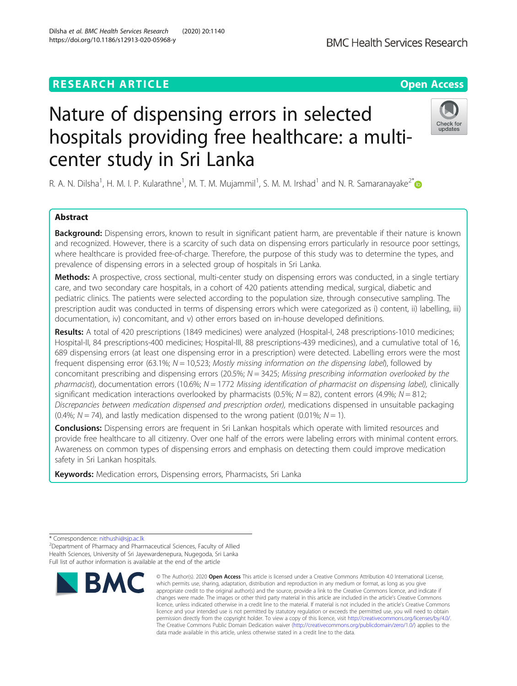# **RESEARCH ARTICLE Example 2014 12:30 The Contract of Contract ACCESS**

# Nature of dispensing errors in selected hospitals providing free healthcare: a multicenter study in Sri Lanka

R. A. N. Dilsha<sup>1</sup>, H. M. I. P. Kularathne<sup>1</sup>, M. T. M. Mujammil<sup>1</sup>, S. M. M. Irshad<sup>1</sup> and N. R. Samaranayake<sup>2[\\*](http://orcid.org/0000-0001-8839-8479)</sup>

# Abstract

Background: Dispensing errors, known to result in significant patient harm, are preventable if their nature is known and recognized. However, there is a scarcity of such data on dispensing errors particularly in resource poor settings, where healthcare is provided free-of-charge. Therefore, the purpose of this study was to determine the types, and prevalence of dispensing errors in a selected group of hospitals in Sri Lanka.

Methods: A prospective, cross sectional, multi-center study on dispensing errors was conducted, in a single tertiary care, and two secondary care hospitals, in a cohort of 420 patients attending medical, surgical, diabetic and pediatric clinics. The patients were selected according to the population size, through consecutive sampling. The prescription audit was conducted in terms of dispensing errors which were categorized as i) content, ii) labelling, iii) documentation, iv) concomitant, and v) other errors based on in-house developed definitions.

Results: A total of 420 prescriptions (1849 medicines) were analyzed (Hospital-I, 248 prescriptions-1010 medicines; Hospital-II, 84 prescriptions-400 medicines; Hospital-III, 88 prescriptions-439 medicines), and a cumulative total of 16, 689 dispensing errors (at least one dispensing error in a prescription) were detected. Labelling errors were the most frequent dispensing error (63.1%;  $N = 10,523$ ; Mostly missing information on the dispensing label), followed by concomitant prescribing and dispensing errors (20.5%;  $N = 3425$ ; Missing prescribing information overlooked by the pharmacist), documentation errors (10.6%;  $N = 1772$  Missing identification of pharmacist on dispensing label), clinically significant medication interactions overlooked by pharmacists (0.5%;  $N = 82$ ), content errors (4.9%;  $N = 812$ ; Discrepancies between medication dispensed and prescription order), medications dispensed in unsuitable packaging (0.4%;  $N = 74$ ), and lastly medication dispensed to the wrong patient (0.01%;  $N = 1$ ).

**Conclusions:** Dispensing errors are frequent in Sri Lankan hospitals which operate with limited resources and provide free healthcare to all citizenry. Over one half of the errors were labeling errors with minimal content errors. Awareness on common types of dispensing errors and emphasis on detecting them could improve medication safety in Sri Lankan hospitals.

Keywords: Medication errors, Dispensing errors, Pharmacists, Sri Lanka

**BMC** 



© The Author(s), 2020 **Open Access** This article is licensed under a Creative Commons Attribution 4.0 International License, which permits use, sharing, adaptation, distribution and reproduction in any medium or format, as long as you give







<sup>\*</sup> Correspondence: [nithushi@sjp.ac.lk](mailto:nithushi@sjp.ac.lk) <sup>2</sup>

<sup>&</sup>lt;sup>2</sup>Department of Pharmacy and Pharmaceutical Sciences, Faculty of Allied Health Sciences, University of Sri Jayewardenepura, Nugegoda, Sri Lanka Full list of author information is available at the end of the article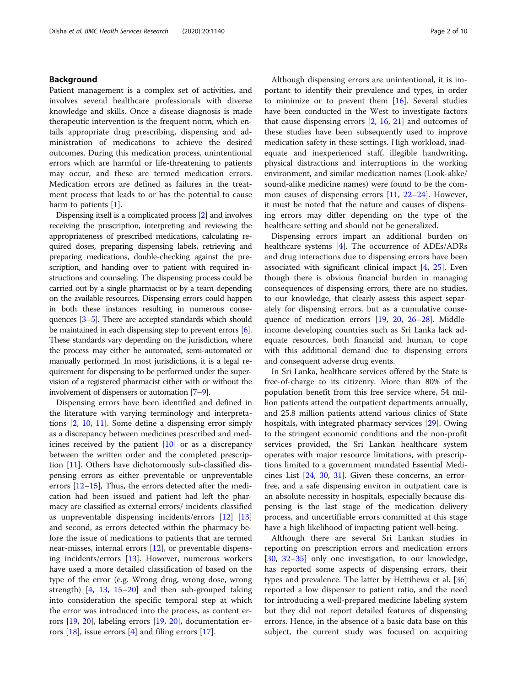# Background

Patient management is a complex set of activities, and involves several healthcare professionals with diverse knowledge and skills. Once a disease diagnosis is made therapeutic intervention is the frequent norm, which entails appropriate drug prescribing, dispensing and administration of medications to achieve the desired outcomes. During this medication process, unintentional errors which are harmful or life-threatening to patients may occur, and these are termed medication errors. Medication errors are defined as failures in the treatment process that leads to or has the potential to cause harm to patients  $[1]$  $[1]$ .

Dispensing itself is a complicated process [[2](#page-9-0)] and involves receiving the prescription, interpreting and reviewing the appropriateness of prescribed medications, calculating required doses, preparing dispensing labels, retrieving and preparing medications, double-checking against the prescription, and handing over to patient with required instructions and counseling. The dispensing process could be carried out by a single pharmacist or by a team depending on the available resources. Dispensing errors could happen in both these instances resulting in numerous consequences [[3](#page-9-0)–[5\]](#page-9-0). There are accepted standards which should be maintained in each dispensing step to prevent errors [[6](#page-9-0)]. These standards vary depending on the jurisdiction, where the process may either be automated, semi-automated or manually performed. In most jurisdictions, it is a legal requirement for dispensing to be performed under the supervision of a registered pharmacist either with or without the involvement of dispensers or automation [\[7](#page-9-0)–[9](#page-9-0)].

Dispensing errors have been identified and defined in the literature with varying terminology and interpretations [[2,](#page-9-0) [10](#page-9-0), [11](#page-9-0)]. Some define a dispensing error simply as a discrepancy between medicines prescribed and medicines received by the patient [\[10\]](#page-9-0) or as a discrepancy between the written order and the completed prescription [[11\]](#page-9-0). Others have dichotomously sub-classified dispensing errors as either preventable or unpreventable errors [\[12](#page-9-0)–[15\]](#page-9-0), Thus, the errors detected after the medication had been issued and patient had left the pharmacy are classified as external errors/ incidents classified as unpreventable dispensing incidents/errors [[12\]](#page-9-0) [[13](#page-9-0)] and second, as errors detected within the pharmacy before the issue of medications to patients that are termed near-misses, internal errors [[12](#page-9-0)], or preventable dispensing incidents/errors [[13](#page-9-0)]. However, numerous workers have used a more detailed classification of based on the type of the error (e.g. Wrong drug, wrong dose, wrong strength) [[4,](#page-9-0) [13,](#page-9-0) [15](#page-9-0)–[20\]](#page-9-0) and then sub-grouped taking into consideration the specific temporal step at which the error was introduced into the process, as content errors [[19](#page-9-0), [20\]](#page-9-0), labeling errors [[19](#page-9-0), [20\]](#page-9-0), documentation errors  $[18]$ , issue errors  $[4]$  $[4]$  and filing errors  $[17]$  $[17]$ .

Although dispensing errors are unintentional, it is important to identify their prevalence and types, in order to minimize or to prevent them  $[16]$  $[16]$  $[16]$ . Several studies have been conducted in the West to investigate factors that cause dispensing errors [\[2](#page-9-0), [16](#page-9-0), [21\]](#page-9-0) and outcomes of these studies have been subsequently used to improve medication safety in these settings. High workload, inadequate and inexperienced staff, illegible handwriting, physical distractions and interruptions in the working environment, and similar medication names (Look-alike/ sound-alike medicine names) were found to be the common causes of dispensing errors [[11,](#page-9-0) [22](#page-9-0)–[24](#page-9-0)]. However, it must be noted that the nature and causes of dispensing errors may differ depending on the type of the healthcare setting and should not be generalized.

Dispensing errors impart an additional burden on healthcare systems [\[4](#page-9-0)]. The occurrence of ADEs/ADRs and drug interactions due to dispensing errors have been associated with significant clinical impact  $[4, 25]$  $[4, 25]$  $[4, 25]$  $[4, 25]$ . Even though there is obvious financial burden in managing consequences of dispensing errors, there are no studies, to our knowledge, that clearly assess this aspect separately for dispensing errors, but as a cumulative consequence of medication errors [[19](#page-9-0), [20,](#page-9-0) [26](#page-9-0)–[28](#page-9-0)]. Middleincome developing countries such as Sri Lanka lack adequate resources, both financial and human, to cope with this additional demand due to dispensing errors and consequent adverse drug events.

In Sri Lanka, healthcare services offered by the State is free-of-charge to its citizenry. More than 80% of the population benefit from this free service where, 54 million patients attend the outpatient departments annually, and 25.8 million patients attend various clinics of State hospitals, with integrated pharmacy services [[29\]](#page-9-0). Owing to the stringent economic conditions and the non-profit services provided, the Sri Lankan healthcare system operates with major resource limitations, with prescriptions limited to a government mandated Essential Medicines List [[24,](#page-9-0) [30,](#page-9-0) [31](#page-9-0)]. Given these concerns, an errorfree, and a safe dispensing environ in outpatient care is an absolute necessity in hospitals, especially because dispensing is the last stage of the medication delivery process, and uncertifiable errors committed at this stage have a high likelihood of impacting patient well-being.

Although there are several Sri Lankan studies in reporting on prescription errors and medication errors [[30,](#page-9-0) [32](#page-9-0)–[35\]](#page-9-0) only one investigation, to our knowledge, has reported some aspects of dispensing errors, their types and prevalence. The latter by Hettihewa et al. [[36](#page-9-0)] reported a low dispenser to patient ratio, and the need for introducing a well-prepared medicine labeling system but they did not report detailed features of dispensing errors. Hence, in the absence of a basic data base on this subject, the current study was focused on acquiring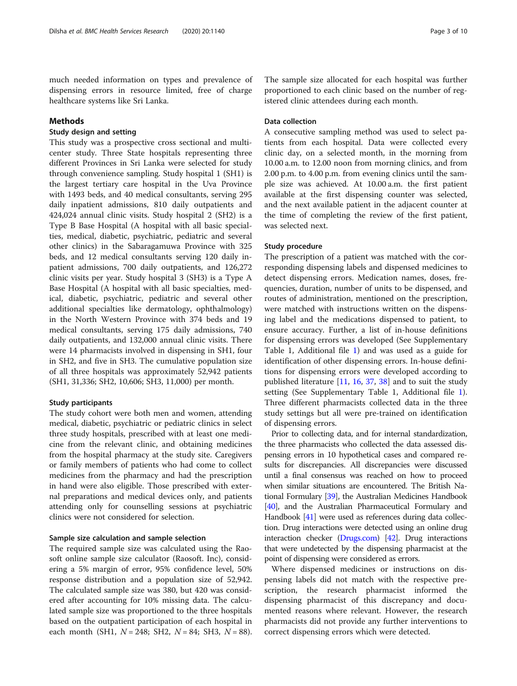# Methods

# Study design and setting

This study was a prospective cross sectional and multicenter study. Three State hospitals representing three different Provinces in Sri Lanka were selected for study through convenience sampling. Study hospital 1 (SH1) is the largest tertiary care hospital in the Uva Province with 1493 beds, and 40 medical consultants, serving 295 daily inpatient admissions, 810 daily outpatients and 424,024 annual clinic visits. Study hospital 2 (SH2) is a Type B Base Hospital (A hospital with all basic specialties, medical, diabetic, psychiatric, pediatric and several other clinics) in the Sabaragamuwa Province with 325 beds, and 12 medical consultants serving 120 daily inpatient admissions, 700 daily outpatients, and 126,272 clinic visits per year. Study hospital 3 (SH3) is a Type A Base Hospital (A hospital with all basic specialties, medical, diabetic, psychiatric, pediatric and several other additional specialties like dermatology, ophthalmology) in the North Western Province with 374 beds and 19 medical consultants, serving 175 daily admissions, 740 daily outpatients, and 132,000 annual clinic visits. There were 14 pharmacists involved in dispensing in SH1, four in SH2, and five in SH3. The cumulative population size of all three hospitals was approximately 52,942 patients (SH1, 31,336; SH2, 10,606; SH3, 11,000) per month.

# Study participants

The study cohort were both men and women, attending medical, diabetic, psychiatric or pediatric clinics in select three study hospitals, prescribed with at least one medicine from the relevant clinic, and obtaining medicines from the hospital pharmacy at the study site. Caregivers or family members of patients who had come to collect medicines from the pharmacy and had the prescription in hand were also eligible. Those prescribed with external preparations and medical devices only, and patients attending only for counselling sessions at psychiatric clinics were not considered for selection.

# Sample size calculation and sample selection

The required sample size was calculated using the Raosoft online sample size calculator (Raosoft. Inc), considering a 5% margin of error, 95% confidence level, 50% response distribution and a population size of 52,942. The calculated sample size was 380, but 420 was considered after accounting for 10% missing data. The calculated sample size was proportioned to the three hospitals based on the outpatient participation of each hospital in each month (SH1,  $N = 248$ ; SH2,  $N = 84$ ; SH3,  $N = 88$ ).

The sample size allocated for each hospital was further proportioned to each clinic based on the number of registered clinic attendees during each month.

# Data collection

A consecutive sampling method was used to select patients from each hospital. Data were collected every clinic day, on a selected month, in the morning from 10.00 a.m. to 12.00 noon from morning clinics, and from 2.00 p.m. to 4.00 p.m. from evening clinics until the sample size was achieved. At 10.00 a.m. the first patient available at the first dispensing counter was selected, and the next available patient in the adjacent counter at the time of completing the review of the first patient, was selected next.

# Study procedure

The prescription of a patient was matched with the corresponding dispensing labels and dispensed medicines to detect dispensing errors. Medication names, doses, frequencies, duration, number of units to be dispensed, and routes of administration, mentioned on the prescription, were matched with instructions written on the dispensing label and the medications dispensed to patient, to ensure accuracy. Further, a list of in-house definitions for dispensing errors was developed (See Supplementary Table 1, Additional file [1\)](#page-8-0) and was used as a guide for identification of other dispensing errors. In-house definitions for dispensing errors were developed according to published literature [\[11,](#page-9-0) [16](#page-9-0), [37](#page-9-0), [38](#page-9-0)] and to suit the study setting (See Supplementary Table 1, Additional file [1](#page-8-0)). Three different pharmacists collected data in the three study settings but all were pre-trained on identification of dispensing errors.

Prior to collecting data, and for internal standardization, the three pharmacists who collected the data assessed dispensing errors in 10 hypothetical cases and compared results for discrepancies. All discrepancies were discussed until a final consensus was reached on how to proceed when similar situations are encountered. The British National Formulary [\[39](#page-9-0)], the Australian Medicines Handbook [[40](#page-9-0)], and the Australian Pharmaceutical Formulary and Handbook [\[41\]](#page-9-0) were used as references during data collection. Drug interactions were detected using an online drug interaction checker ([Drugs.com\)](http://drugs.com) [\[42\]](#page-9-0). Drug interactions that were undetected by the dispensing pharmacist at the point of dispensing were considered as errors.

Where dispensed medicines or instructions on dispensing labels did not match with the respective prescription, the research pharmacist informed the dispensing pharmacist of this discrepancy and documented reasons where relevant. However, the research pharmacists did not provide any further interventions to correct dispensing errors which were detected.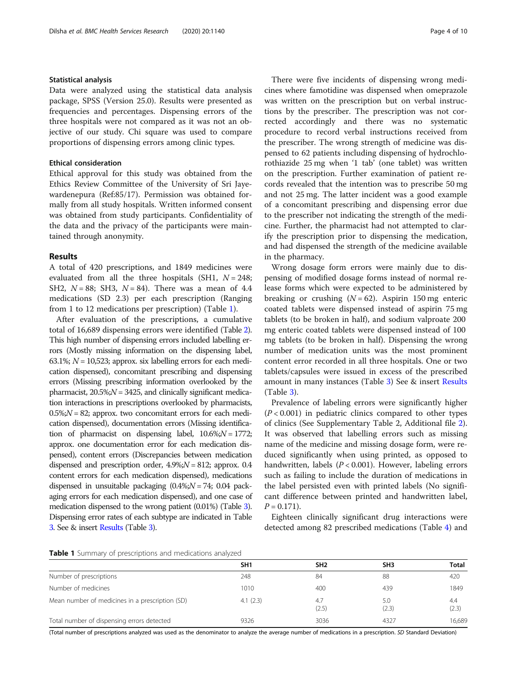#### Statistical analysis

Data were analyzed using the statistical data analysis package, SPSS (Version 25.0). Results were presented as frequencies and percentages. Dispensing errors of the three hospitals were not compared as it was not an objective of our study. Chi square was used to compare proportions of dispensing errors among clinic types.

#### Ethical consideration

Ethical approval for this study was obtained from the Ethics Review Committee of the University of Sri Jayewardenepura (Ref:85/17). Permission was obtained formally from all study hospitals. Written informed consent was obtained from study participants. Confidentiality of the data and the privacy of the participants were maintained through anonymity.

#### Results

A total of 420 prescriptions, and 1849 medicines were evaluated from all the three hospitals (SH1,  $N = 248$ ; SH2,  $N = 88$ ; SH3,  $N = 84$ ). There was a mean of 4.4 medications (SD 2.3) per each prescription (Ranging from 1 to 12 medications per prescription) (Table 1).

After evaluation of the prescriptions, a cumulative total of 16,689 dispensing errors were identified (Table [2\)](#page-4-0). This high number of dispensing errors included labelling errors (Mostly missing information on the dispensing label, 63.1%;  $N = 10,523$ ; approx. six labelling errors for each medication dispensed), concomitant prescribing and dispensing errors (Missing prescribing information overlooked by the pharmacist,  $20.5\%$ ; $N = 3425$ , and clinically significant medication interactions in prescriptions overlooked by pharmacists,  $0.5\%$ ; $N = 82$ ; approx. two concomitant errors for each medication dispensed), documentation errors (Missing identification of pharmacist on dispensing label,  $10.6\%$ ; $N = 1772$ ; approx. one documentation error for each medication dispensed), content errors (Discrepancies between medication dispensed and prescription order,  $4.9\%$ ; $N = 812$ ; approx. 0.4 content errors for each medication dispensed), medications dispensed in unsuitable packaging  $(0.4\%;N = 74; 0.04 \text{ pack}$ aging errors for each medication dispensed), and one case of medication dispensed to the wrong patient (0.01%) (Table [3\)](#page-5-0). Dispensing error rates of each subtype are indicated in Table [3](#page-5-0). See & insert [Results](#page-8-0) (Table [3\)](#page-5-0).

There were five incidents of dispensing wrong medicines where famotidine was dispensed when omeprazole was written on the prescription but on verbal instructions by the prescriber. The prescription was not corrected accordingly and there was no systematic procedure to record verbal instructions received from the prescriber. The wrong strength of medicine was dispensed to 62 patients including dispensing of hydrochlorothiazide 25 mg when '1 tab' (one tablet) was written on the prescription. Further examination of patient records revealed that the intention was to prescribe 50 mg and not 25 mg. The latter incident was a good example of a concomitant prescribing and dispensing error due to the prescriber not indicating the strength of the medicine. Further, the pharmacist had not attempted to clarify the prescription prior to dispensing the medication, and had dispensed the strength of the medicine available in the pharmacy.

Wrong dosage form errors were mainly due to dispensing of modified dosage forms instead of normal release forms which were expected to be administered by breaking or crushing  $(N = 62)$ . Aspirin 150 mg enteric coated tablets were dispensed instead of aspirin 75 mg tablets (to be broken in half), and sodium valproate 200 mg enteric coated tablets were dispensed instead of 100 mg tablets (to be broken in half). Dispensing the wrong number of medication units was the most prominent content error recorded in all three hospitals. One or two tablets/capsules were issued in excess of the prescribed amount in many instances (Table [3](#page-5-0)) See & insert [Results](#page-8-0) (Table [3\)](#page-5-0).

Prevalence of labeling errors were significantly higher  $(P<0.001)$  in pediatric clinics compared to other types of clinics (See Supplementary Table 2, Additional file [2](#page-8-0)). It was observed that labelling errors such as missing name of the medicine and missing dosage form, were reduced significantly when using printed, as opposed to handwritten, labels ( $P < 0.001$ ). However, labeling errors such as failing to include the duration of medications in the label persisted even with printed labels (No significant difference between printed and handwritten label,  $P = 0.171$ .

Eighteen clinically significant drug interactions were detected among 82 prescribed medications (Table [4](#page-7-0)) and

### Table 1 Summary of prescriptions and medications analyzed

|                                                 | SH <sub>1</sub> | SH <sub>2</sub> | SH <sub>3</sub> | <b>Total</b> |
|-------------------------------------------------|-----------------|-----------------|-----------------|--------------|
| Number of prescriptions                         | 248             | 84              | 88              | 420          |
| Number of medicines                             | 1010            | 400             | 439             | 1849         |
| Mean number of medicines in a prescription (SD) | 4.1(2.3)        | 4.7<br>(2.5)    | 5.0<br>(2.3)    | 4.4<br>(2.3) |
| Total number of dispensing errors detected      | 9326            | 3036            | 4327            | 16,689       |

(Total number of prescriptions analyzed was used as the denominator to analyze the average number of medications in a prescription. SD Standard Deviation)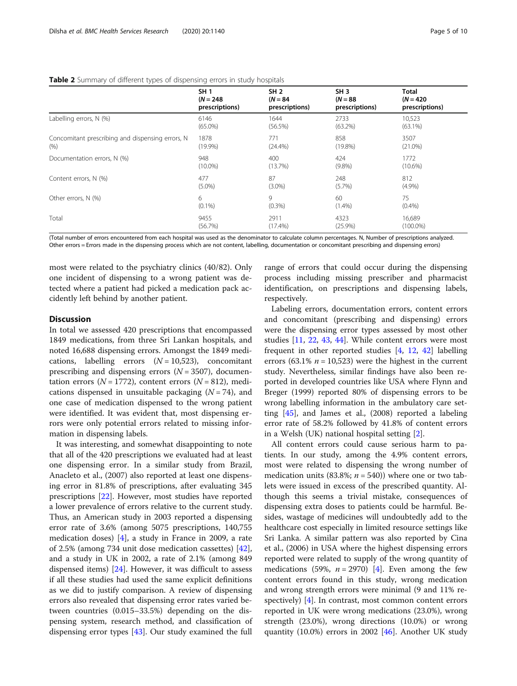|                                                  | <b>SH1</b>     | SH <sub>2</sub> | SH <sub>3</sub> | <b>Total</b>   |
|--------------------------------------------------|----------------|-----------------|-----------------|----------------|
|                                                  | $(N = 248)$    | $(N = 84)$      | $(N = 88)$      | $(N = 420)$    |
|                                                  | prescriptions) | prescriptions)  | prescriptions)  | prescriptions) |
| Labelling errors, N (%)                          | 6146           | 1644            | 2733            | 10,523         |
|                                                  | $(65.0\%)$     | (56.5%)         | $(63.2\%)$      | $(63.1\%)$     |
| Concomitant prescribing and dispensing errors, N | 1878           | 771             | 858             | 3507           |
| (% )                                             | (19.9%)        | $(24.4\%)$      | $(19.8\%)$      | $(21.0\%)$     |
| Documentation errors, N (%)                      | 948            | 400             | 424             | 1772           |
|                                                  | $(10.0\%)$     | (13.7%)         | $(9.8\%)$       | $(10.6\%)$     |
| Content errors, N (%)                            | 477            | 87              | 248             | 812            |
|                                                  | $(5.0\%)$      | $(3.0\%)$       | (5.7%)          | (4.9%)         |
| Other errors, N (%)                              | 6              | 9               | 60              | 75             |
|                                                  | $(0.1\%)$      | $(0.3\%)$       | $(1.4\%)$       | (0.4% )        |
| Total                                            | 9455           | 2911            | 4323            | 16,689         |
|                                                  | (56.7%)        | $(17.4\%)$      | $(25.9\%)$      | $(100.0\%)$    |

#### <span id="page-4-0"></span>Table 2 Summary of different types of dispensing errors in study hospitals

(Total number of errors encountered from each hospital was used as the denominator to calculate column percentages. N, Number of prescriptions analyzed. Other errors = Errors made in the dispensing process which are not content, labelling, documentation or concomitant prescribing and dispensing errors)

most were related to the psychiatry clinics (40/82). Only one incident of dispensing to a wrong patient was detected where a patient had picked a medication pack accidently left behind by another patient.

# **Discussion**

In total we assessed 420 prescriptions that encompassed 1849 medications, from three Sri Lankan hospitals, and noted 16,688 dispensing errors. Amongst the 1849 medications, labelling errors  $(N = 10,523)$ , concomitant prescribing and dispensing errors  $(N = 3507)$ , documentation errors ( $N = 1772$ ), content errors ( $N = 812$ ), medications dispensed in unsuitable packaging  $(N = 74)$ , and one case of medication dispensed to the wrong patient were identified. It was evident that, most dispensing errors were only potential errors related to missing information in dispensing labels.

It was interesting, and somewhat disappointing to note that all of the 420 prescriptions we evaluated had at least one dispensing error. In a similar study from Brazil, Anacleto et al., (2007) also reported at least one dispensing error in 81.8% of prescriptions, after evaluating 345 prescriptions [[22](#page-9-0)]. However, most studies have reported a lower prevalence of errors relative to the current study. Thus, an American study in 2003 reported a dispensing error rate of 3.6% (among 5075 prescriptions, 140,755 medication doses) [\[4](#page-9-0)], a study in France in 2009, a rate of 2.5% (among 734 unit dose medication cassettes) [\[42](#page-9-0)], and a study in UK in 2002, a rate of 2.1% (among 849 dispensed items) [[24\]](#page-9-0). However, it was difficult to assess if all these studies had used the same explicit definitions as we did to justify comparison. A review of dispensing errors also revealed that dispensing error rates varied between countries (0.015–33.5%) depending on the dispensing system, research method, and classification of dispensing error types [\[43](#page-9-0)]. Our study examined the full range of errors that could occur during the dispensing process including missing prescriber and pharmacist identification, on prescriptions and dispensing labels, respectively.

Labeling errors, documentation errors, content errors and concomitant (prescribing and dispensing) errors were the dispensing error types assessed by most other studies [[11](#page-9-0), [22,](#page-9-0) [43](#page-9-0), [44\]](#page-9-0). While content errors were most frequent in other reported studies [\[4](#page-9-0), [12,](#page-9-0) [42\]](#page-9-0) labelling errors (63.1%  $n = 10,523$ ) were the highest in the current study. Nevertheless, similar findings have also been reported in developed countries like USA where Flynn and Breger (1999) reported 80% of dispensing errors to be wrong labelling information in the ambulatory care setting  $[45]$  $[45]$ , and James et al., (2008) reported a labeling error rate of 58.2% followed by 41.8% of content errors in a Welsh (UK) national hospital setting [\[2](#page-9-0)].

All content errors could cause serious harm to patients. In our study, among the 4.9% content errors, most were related to dispensing the wrong number of medication units (83.8%;  $n = 540$ )) where one or two tablets were issued in excess of the prescribed quantity. Although this seems a trivial mistake, consequences of dispensing extra doses to patients could be harmful. Besides, wastage of medicines will undoubtedly add to the healthcare cost especially in limited resource settings like Sri Lanka. A similar pattern was also reported by Cina et al., (2006) in USA where the highest dispensing errors reported were related to supply of the wrong quantity of medications (59%,  $n = 2970$ ) [[4](#page-9-0)]. Even among the few content errors found in this study, wrong medication and wrong strength errors were minimal (9 and 11% respectively) [[4](#page-9-0)]. In contrast, most common content errors reported in UK were wrong medications (23.0%), wrong strength (23.0%), wrong directions (10.0%) or wrong quantity  $(10.0\%)$  errors in 2002  $[46]$  $[46]$ . Another UK study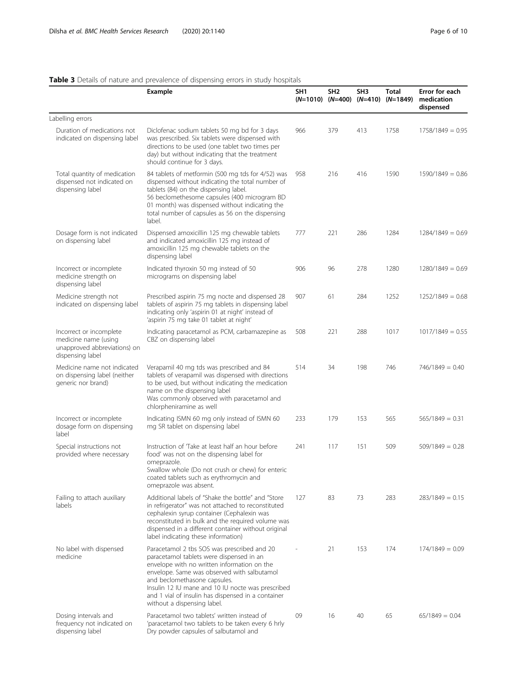<span id="page-5-0"></span>

|                                                                                                     | Example                                                                                                                                                                                                                                                                                                                                                         | SH <sub>1</sub><br>$(N=1010)$ $(N=400)$ | SH <sub>2</sub> | SH <sub>3</sub><br>(N=410) | <b>Total</b><br>$(N=1849)$ | Error for each<br>medication<br>dispensed |
|-----------------------------------------------------------------------------------------------------|-----------------------------------------------------------------------------------------------------------------------------------------------------------------------------------------------------------------------------------------------------------------------------------------------------------------------------------------------------------------|-----------------------------------------|-----------------|----------------------------|----------------------------|-------------------------------------------|
| Labelling errors                                                                                    |                                                                                                                                                                                                                                                                                                                                                                 |                                         |                 |                            |                            |                                           |
| Duration of medications not<br>indicated on dispensing label                                        | Diclofenac sodium tablets 50 mg bd for 3 days<br>was prescribed. Six tablets were dispensed with<br>directions to be used (one tablet two times per<br>day) but without indicating that the treatment<br>should continue for 3 days.                                                                                                                            | 966                                     | 379             | 413                        | 1758                       | $1758/1849 = 0.95$                        |
| Total quantity of medication<br>dispensed not indicated on<br>dispensing label                      | 84 tablets of metformin (500 mg tds for 4/52) was<br>dispensed without indicating the total number of<br>tablets (84) on the dispensing label.<br>56 beclomethesome capsules (400 microgram BD<br>01 month) was dispensed without indicating the<br>total number of capsules as 56 on the dispensing<br>label.                                                  | 958                                     | 216             | 416                        | 1590                       | $1590/1849 = 0.86$                        |
| Dosage form is not indicated<br>on dispensing label                                                 | Dispensed amoxicillin 125 mg chewable tablets<br>and indicated amoxicillin 125 mg instead of<br>amoxicillin 125 mg chewable tablets on the<br>dispensing label                                                                                                                                                                                                  | 777                                     | 221             | 286                        | 1284                       | $1284/1849 = 0.69$                        |
| Incorrect or incomplete<br>medicine strength on<br>dispensing label                                 | Indicated thyroxin 50 mg instead of 50<br>micrograms on dispensing label                                                                                                                                                                                                                                                                                        | 906                                     | 96              | 278                        | 1280                       | $1280/1849 = 0.69$                        |
| Medicine strength not<br>indicated on dispensing label                                              | Prescribed aspirin 75 mg nocte and dispensed 28<br>tablets of aspirin 75 mg tablets in dispensing label<br>indicating only 'aspirin 01 at night' instead of<br>'aspirin 75 mg take 01 tablet at night'                                                                                                                                                          | 907                                     | 61              | 284                        | 1252                       | $1252/1849 = 0.68$                        |
| Incorrect or incomplete<br>medicine name (using<br>unapproved abbreviations) on<br>dispensing label | Indicating paracetamol as PCM, carbamazepine as<br>CBZ on dispensing label                                                                                                                                                                                                                                                                                      | 508                                     | 221             | 288                        | 1017                       | $1017/1849 = 0.55$                        |
| Medicine name not indicated<br>on dispensing label (neither<br>generic nor brand)                   | Verapamil 40 mg tds was prescribed and 84<br>tablets of verapamil was dispensed with directions<br>to be used, but without indicating the medication<br>name on the dispensing label<br>Was commonly observed with paracetamol and<br>chlorpheniramine as well                                                                                                  | 514                                     | 34              | 198                        | 746                        | $746/1849 = 0.40$                         |
| Incorrect or incomplete<br>dosage form on dispensing<br>label                                       | Indicating ISMN 60 mg only instead of ISMN 60<br>mg SR tablet on dispensing label                                                                                                                                                                                                                                                                               | 233                                     | 179             | 153                        | 565                        | $565/1849 = 0.31$                         |
| Special instructions not<br>provided where necessary                                                | Instruction of Take at least half an hour before<br>food' was not on the dispensing label for<br>omeprazole.<br>Swallow whole (Do not crush or chew) for enteric<br>coated tablets such as erythromycin and<br>omeprazole was absent.                                                                                                                           | 241                                     | 117             | 151                        | 509                        | $509/1849 = 0.28$                         |
| Failing to attach auxiliary<br>labels                                                               | Additional labels of "Shake the bottle" and "Store<br>in refrigerator" was not attached to reconstituted<br>cephalexin syrup container (Cephalexin was<br>reconstituted in bulk and the required volume was<br>dispensed in a different container without original<br>label indicating these information)                                                       | 127                                     | 83              | 73                         | 283                        | $283/1849 = 0.15$                         |
| No label with dispensed<br>medicine                                                                 | Paracetamol 2 tbs SOS was prescribed and 20<br>paracetamol tablets were dispensed in an<br>envelope with no written information on the<br>envelope. Same was observed with salbutamol<br>and beclomethasone capsules.<br>Insulin 12 IU mane and 10 IU nocte was prescribed<br>and 1 vial of insulin has dispensed in a container<br>without a dispensing label. |                                         | 21              | 153                        | 174                        | $174/1849 = 0.09$                         |
| Dosing intervals and<br>frequency not indicated on<br>dispensing label                              | Paracetamol two tablets' written instead of<br>'paracetamol two tablets to be taken every 6 hrly<br>Dry powder capsules of salbutamol and                                                                                                                                                                                                                       | 09                                      | 16              | 40                         | 65                         | $65/1849 = 0.04$                          |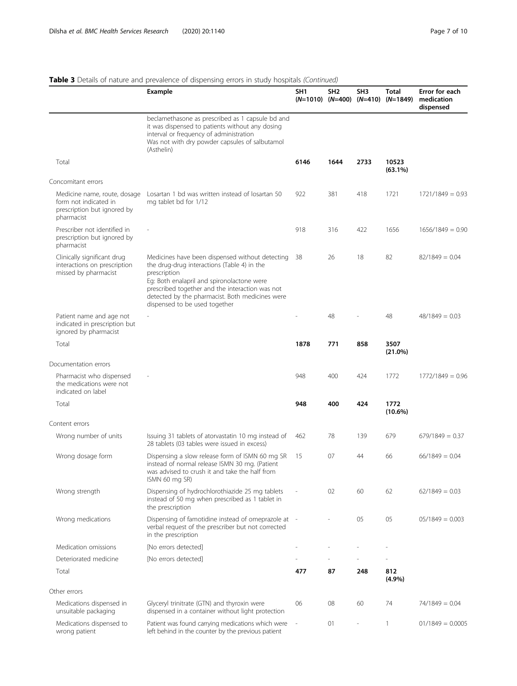# Table 3 Details of nature and prevalence of dispensing errors in study hospitals (Continued)

|                                                                                                    | <b>Example</b>                                                                                                                                                                                                                                                                                      | SH <sub>1</sub><br>$(N=1010)$ $(N=400)$ $(N=410)$ | SH <sub>2</sub> | SH <sub>3</sub> | Total<br>$(N=1849)$ | Error for each<br>medication<br>dispensed |
|----------------------------------------------------------------------------------------------------|-----------------------------------------------------------------------------------------------------------------------------------------------------------------------------------------------------------------------------------------------------------------------------------------------------|---------------------------------------------------|-----------------|-----------------|---------------------|-------------------------------------------|
|                                                                                                    | beclamethasone as prescribed as 1 capsule bd and<br>it was dispensed to patients without any dosing<br>interval or frequency of administration<br>Was not with dry powder capsules of salbutamol<br>(Asthelin)                                                                                      |                                                   |                 |                 |                     |                                           |
| Total                                                                                              |                                                                                                                                                                                                                                                                                                     | 6146                                              | 1644            | 2733            | 10523<br>$(63.1\%)$ |                                           |
| Concomitant errors                                                                                 |                                                                                                                                                                                                                                                                                                     |                                                   |                 |                 |                     |                                           |
| Medicine name, route, dosage<br>form not indicated in<br>prescription but ignored by<br>pharmacist | Losartan 1 bd was written instead of losartan 50<br>mg tablet bd for 1/12                                                                                                                                                                                                                           | 922                                               | 381             | 418             | 1721                | $1721/1849 = 0.93$                        |
| Prescriber not identified in<br>prescription but ignored by<br>pharmacist                          |                                                                                                                                                                                                                                                                                                     | 918                                               | 316             | 422             | 1656                | $1656/1849 = 0.90$                        |
| Clinically significant drug<br>interactions on prescription<br>missed by pharmacist                | Medicines have been dispensed without detecting<br>the drug-drug interactions (Table 4) in the<br>prescription<br>Eg: Both enalapril and spironolactone were<br>prescribed together and the interaction was not<br>detected by the pharmacist. Both medicines were<br>dispensed to be used together | 38                                                | 26              | 18              | 82                  | $82/1849 = 0.04$                          |
| Patient name and age not<br>indicated in prescription but<br>ignored by pharmacist                 |                                                                                                                                                                                                                                                                                                     |                                                   | 48              |                 | 48                  | $48/1849 = 0.03$                          |
| Total                                                                                              |                                                                                                                                                                                                                                                                                                     | 1878                                              | 771             | 858             | 3507<br>$(21.0\%)$  |                                           |
| Documentation errors                                                                               |                                                                                                                                                                                                                                                                                                     |                                                   |                 |                 |                     |                                           |
| Pharmacist who dispensed<br>the medications were not<br>indicated on label                         |                                                                                                                                                                                                                                                                                                     | 948                                               | 400             | 424             | 1772                | $1772/1849 = 0.96$                        |
| Total                                                                                              |                                                                                                                                                                                                                                                                                                     | 948                                               | 400             | 424             | 1772<br>$(10.6\%)$  |                                           |
| Content errors                                                                                     |                                                                                                                                                                                                                                                                                                     |                                                   |                 |                 |                     |                                           |
| Wrong number of units                                                                              | Issuing 31 tablets of atorvastatin 10 mg instead of<br>28 tablets (03 tables were issued in excess)                                                                                                                                                                                                 | 462                                               | 78              | 139             | 679                 | $679/1849 = 0.37$                         |
| Wrong dosage form                                                                                  | Dispensing a slow release form of ISMN 60 mg SR<br>instead of normal release ISMN 30 mg. (Patient<br>was advised to crush it and take the half from<br>ISMN 60 mg SR)                                                                                                                               | 15                                                | 07              | 44              | 66                  | $66/1849 = 0.04$                          |
| Wrong strength                                                                                     | Dispensing of hydrochlorothiazide 25 mg tablets<br>instead of 50 mg when prescribed as 1 tablet in<br>the prescription                                                                                                                                                                              |                                                   | 02              | 60              | 62                  | $62/1849 = 0.03$                          |
| Wrong medications                                                                                  | Dispensing of famotidine instead of omeprazole at<br>verbal request of the prescriber but not corrected<br>in the prescription                                                                                                                                                                      | $\overline{\phantom{a}}$                          |                 | 05              | 05                  | $05/1849 = 0.003$                         |
| Medication omissions                                                                               | [No errors detected]                                                                                                                                                                                                                                                                                |                                                   |                 |                 |                     |                                           |
| Deteriorated medicine                                                                              | [No errors detected]                                                                                                                                                                                                                                                                                |                                                   |                 |                 |                     |                                           |
| Total                                                                                              |                                                                                                                                                                                                                                                                                                     | 477                                               | 87              | 248             | 812<br>$(4.9\%)$    |                                           |
| Other errors                                                                                       |                                                                                                                                                                                                                                                                                                     |                                                   |                 |                 |                     |                                           |
| Medications dispensed in<br>unsuitable packaging                                                   | Glyceryl trinitrate (GTN) and thyroxin were<br>dispensed in a container without light protection                                                                                                                                                                                                    | 06                                                | 08              | 60              | 74                  | $74/1849 = 0.04$                          |
| Medications dispensed to<br>wrong patient                                                          | Patient was found carrying medications which were<br>left behind in the counter by the previous patient                                                                                                                                                                                             |                                                   | 01              | $\overline{a}$  | 1                   | $01/1849 = 0.0005$                        |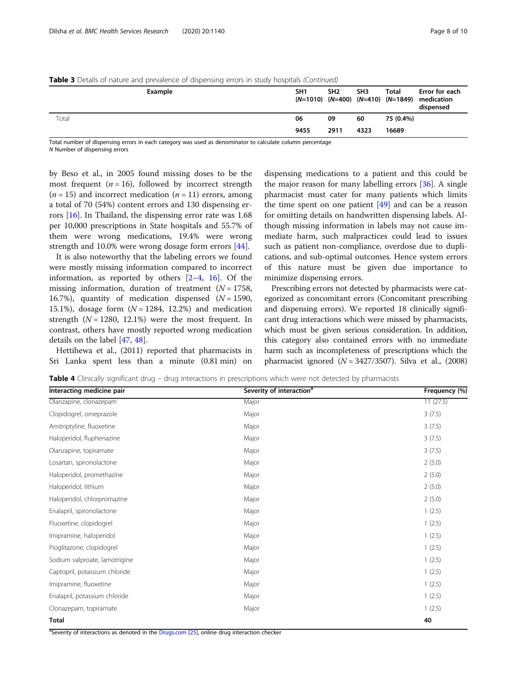|       | Example |  | SH <sub>1</sub> | SH <sub>2</sub> | SH <sub>3</sub> | <b>Total</b> | Error for each<br>$(N=1010)$ $(N=400)$ $(N=410)$ $(N=1849)$ medication<br>dispensed |
|-------|---------|--|-----------------|-----------------|-----------------|--------------|-------------------------------------------------------------------------------------|
| Total |         |  | 06              | 09              | 60              | 75 (0.4%)    |                                                                                     |
|       |         |  | 9455            | 2911            | 4323            | 16689        |                                                                                     |

<span id="page-7-0"></span>**Table 3** Details of nature and prevalence of dispensing errors in study hospitals (Continued)

Total number of dispensing errors in each category was used as denominator to calculate column percentage N Number of dispensing errors

by Beso et al., in 2005 found missing doses to be the most frequent  $(n = 16)$ , followed by incorrect strength  $(n = 15)$  and incorrect medication  $(n = 11)$  errors, among a total of 70 (54%) content errors and 130 dispensing errors [\[16](#page-9-0)]. In Thailand, the dispensing error rate was 1.68 per 10,000 prescriptions in State hospitals and 55.7% of them were wrong medications, 19.4% were wrong strength and 10.0% were wrong dosage form errors [[44\]](#page-9-0).

It is also noteworthy that the labeling errors we found were mostly missing information compared to incorrect information, as reported by others  $[2-4, 16]$  $[2-4, 16]$  $[2-4, 16]$  $[2-4, 16]$  $[2-4, 16]$  $[2-4, 16]$ . Of the missing information, duration of treatment  $(N = 1758)$ , 16.7%), quantity of medication dispensed  $(N = 1590,$ 15.1%), dosage form  $(N = 1284, 12.2%)$  and medication strength  $(N = 1280, 12.1\%)$  were the most frequent. In contrast, others have mostly reported wrong medication details on the label [\[47,](#page-9-0) [48\]](#page-9-0).

Hettihewa et al., (2011) reported that pharmacists in Sri Lanka spent less than a minute (0.81 min) on

dispensing medications to a patient and this could be the major reason for many labelling errors [[36](#page-9-0)]. A single pharmacist must cater for many patients which limits the time spent on one patient  $[49]$  and can be a reason for omitting details on handwritten dispensing labels. Although missing information in labels may not cause immediate harm, such malpractices could lead to issues such as patient non-compliance, overdose due to duplications, and sub-optimal outcomes. Hence system errors of this nature must be given due importance to minimize dispensing errors.

Prescribing errors not detected by pharmacists were categorized as concomitant errors (Concomitant prescribing and dispensing errors). We reported 18 clinically significant drug interactions which were missed by pharmacists, which must be given serious consideration. In addition, this category also contained errors with no immediate harm such as incompleteness of prescriptions which the pharmacist ignored  $(N = 3427/3507)$ . Silva et al., (2008)

Table 4 Clinically significant drug – drug interactions in prescriptions which were not detected by pharmacists

| Interacting medicine pair     | Severity of interaction <sup>a</sup> | Frequency (%) |
|-------------------------------|--------------------------------------|---------------|
| Olanzapine, clonazepam        | Major                                | 11(27.5)      |
| Clopidogrel, omeprazole       | Major                                | 3(7.5)        |
| Amitriptyline, fluoxetine     | Major                                | 3(7.5)        |
| Haloperidol, fluphenazine     | Major                                | 3(7.5)        |
| Olanzapine, topiramate        | Major                                | 3(7.5)        |
| Losartan, spironolactone      | Major                                | 2(5.0)        |
| Haloperidol, promethazine     | Major                                | 2(5.0)        |
| Haloperidol, lithium          | Major                                | 2(5.0)        |
| Haloperidol, chlorpromazine   | Major                                | 2(5.0)        |
| Enalapril, spironolactone     | Major                                | 1(2.5)        |
| Fluoxetine, clopidogrel       | Major                                | 1(2.5)        |
| Imipramine, haloperidol       | Major                                | 1(2.5)        |
| Pioglitazone, clopidogrel     | Major                                | 1(2.5)        |
| Sodium valproate, lamotrigine | Major                                | 1(2.5)        |
| Captopril, potassium chloride | Major                                | 1(2.5)        |
| Imipramine, fluoxetine        | Major                                | 1(2.5)        |
| Enalapril, potassium chloride | Major                                | 1(2.5)        |
| Clonazepam, topiramate        | Major                                | 1(2.5)        |
| <b>Total</b>                  |                                      | 40            |

<sup>a</sup>Severity of interactions as denoted in the [Drugs.com](http://drugs.com) [[25](#page-9-0)], online drug interaction checker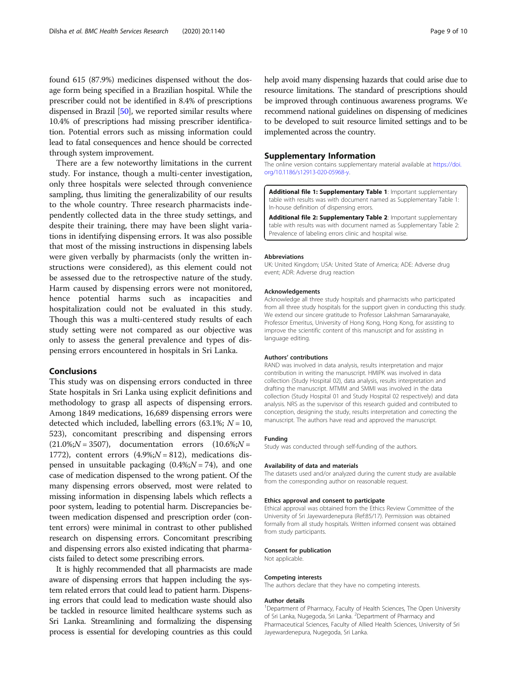<span id="page-8-0"></span>found 615 (87.9%) medicines dispensed without the dosage form being specified in a Brazilian hospital. While the prescriber could not be identified in 8.4% of prescriptions dispensed in Brazil [\[50](#page-9-0)], we reported similar results where 10.4% of prescriptions had missing prescriber identification. Potential errors such as missing information could lead to fatal consequences and hence should be corrected through system improvement.

There are a few noteworthy limitations in the current study. For instance, though a multi-center investigation, only three hospitals were selected through convenience sampling, thus limiting the generalizability of our results to the whole country. Three research pharmacists independently collected data in the three study settings, and despite their training, there may have been slight variations in identifying dispensing errors. It was also possible that most of the missing instructions in dispensing labels were given verbally by pharmacists (only the written instructions were considered), as this element could not be assessed due to the retrospective nature of the study. Harm caused by dispensing errors were not monitored, hence potential harms such as incapacities and hospitalization could not be evaluated in this study. Though this was a multi-centered study results of each study setting were not compared as our objective was only to assess the general prevalence and types of dispensing errors encountered in hospitals in Sri Lanka.

# Conclusions

This study was on dispensing errors conducted in three State hospitals in Sri Lanka using explicit definitions and methodology to grasp all aspects of dispensing errors. Among 1849 medications, 16,689 dispensing errors were detected which included, labelling errors (63.1%;  $N = 10$ , 523), concomitant prescribing and dispensing errors  $(21.0\%; N = 3507)$ , documentation errors  $(10.6\%; N = 1000)$ 1772), content errors  $(4.9\%;N = 812)$ , medications dispensed in unsuitable packaging  $(0.4\%;N = 74)$ , and one case of medication dispensed to the wrong patient. Of the many dispensing errors observed, most were related to missing information in dispensing labels which reflects a poor system, leading to potential harm. Discrepancies between medication dispensed and prescription order (content errors) were minimal in contrast to other published research on dispensing errors. Concomitant prescribing and dispensing errors also existed indicating that pharmacists failed to detect some prescribing errors.

It is highly recommended that all pharmacists are made aware of dispensing errors that happen including the system related errors that could lead to patient harm. Dispensing errors that could lead to medication waste should also be tackled in resource limited healthcare systems such as Sri Lanka. Streamlining and formalizing the dispensing process is essential for developing countries as this could help avoid many dispensing hazards that could arise due to resource limitations. The standard of prescriptions should be improved through continuous awareness programs. We recommend national guidelines on dispensing of medicines to be developed to suit resource limited settings and to be implemented across the country.

#### Supplementary Information

The online version contains supplementary material available at [https://doi.](https://doi.org/10.1186/s12913-020-05968-y) [org/10.1186/s12913-020-05968-y](https://doi.org/10.1186/s12913-020-05968-y).

Additional file 1: Supplementary Table 1: Important supplementary table with results was with document named as Supplementary Table 1: In-house definition of dispensing errors.

Additional file 2: Supplementary Table 2: Important supplementary table with results was with document named as Supplementary Table 2: Prevalence of labeling errors clinic and hospital wise.

#### Abbreviations

UK: United Kingdom; USA: United State of America; ADE: Adverse drug event; ADR: Adverse drug reaction

#### Acknowledgements

Acknowledge all three study hospitals and pharmacists who participated from all three study hospitals for the support given in conducting this study. We extend our sincere gratitude to Professor Lakshman Samaranayake, Professor Emeritus, University of Hong Kong, Hong Kong, for assisting to improve the scientific content of this manuscript and for assisting in language editing.

#### Authors' contributions

RAND was involved in data analysis, results interpretation and major contribution in writing the manuscript. HMIPK was involved in data collection (Study Hospital 02), data analysis, results interpretation and drafting the manuscript. MTMM and SMMI was involved in the data collection (Study Hospital 01 and Study Hospital 02 respectively) and data analysis. NRS as the supervisor of this research guided and contributed to conception, designing the study, results interpretation and correcting the manuscript. The authors have read and approved the manuscript.

#### Funding

Study was conducted through self-funding of the authors.

#### Availability of data and materials

The datasets used and/or analyzed during the current study are available from the corresponding author on reasonable request.

#### Ethics approval and consent to participate

Ethical approval was obtained from the Ethics Review Committee of the University of Sri Jayewardenepura (Ref:85/17). Permission was obtained formally from all study hospitals. Written informed consent was obtained from study participants.

#### Consent for publication

Not applicable.

#### Competing interests

The authors declare that they have no competing interests.

#### Author details

<sup>1</sup>Department of Pharmacy, Faculty of Health Sciences, The Open University of Sri Lanka, Nugegoda, Sri Lanka. <sup>2</sup>Department of Pharmacy and Pharmaceutical Sciences, Faculty of Allied Health Sciences, University of Sri Jayewardenepura, Nugegoda, Sri Lanka.